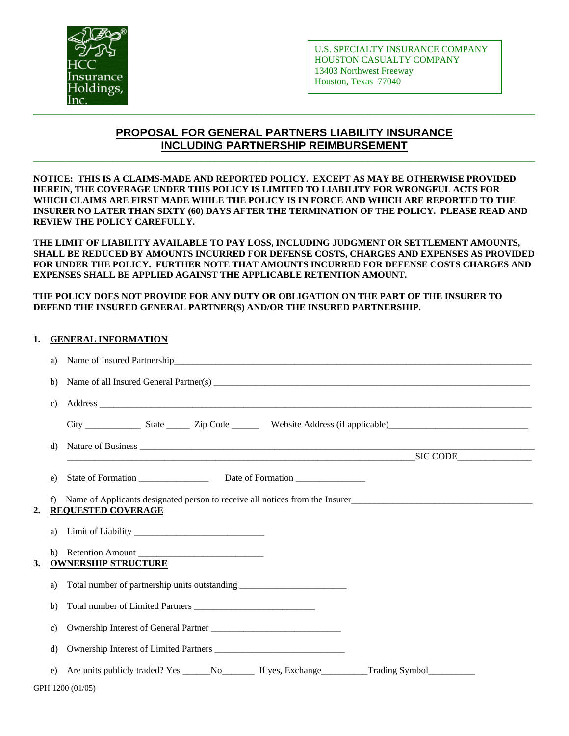

# **PROPOSAL FOR GENERAL PARTNERS LIABILITY INSURANCE INCLUDING PARTNERSHIP REIMBURSEMENT**

**\_\_\_\_\_\_\_\_\_\_\_\_\_\_\_\_\_\_\_\_\_\_\_\_\_\_\_\_\_\_\_\_\_\_\_\_\_\_\_\_\_\_\_\_\_\_\_\_\_\_\_\_\_\_\_\_\_\_\_\_\_\_\_\_\_\_\_\_\_\_\_\_\_\_\_\_\_\_\_\_\_\_\_\_\_\_\_\_\_\_\_\_\_\_\_\_\_\_\_\_\_\_\_\_\_\_\_\_** 

**NOTICE: THIS IS A CLAIMS-MADE AND REPORTED POLICY. EXCEPT AS MAY BE OTHERWISE PROVIDED HEREIN, THE COVERAGE UNDER THIS POLICY IS LIMITED TO LIABILITY FOR WRONGFUL ACTS FOR WHICH CLAIMS ARE FIRST MADE WHILE THE POLICY IS IN FORCE AND WHICH ARE REPORTED TO THE INSURER NO LATER THAN SIXTY (60) DAYS AFTER THE TERMINATION OF THE POLICY. PLEASE READ AND REVIEW THE POLICY CAREFULLY.** 

**THE LIMIT OF LIABILITY AVAILABLE TO PAY LOSS, INCLUDING JUDGMENT OR SETTLEMENT AMOUNTS, SHALL BE REDUCED BY AMOUNTS INCURRED FOR DEFENSE COSTS, CHARGES AND EXPENSES AS PROVIDED FOR UNDER THE POLICY. FURTHER NOTE THAT AMOUNTS INCURRED FOR DEFENSE COSTS CHARGES AND EXPENSES SHALL BE APPLIED AGAINST THE APPLICABLE RETENTION AMOUNT.** 

## **THE POLICY DOES NOT PROVIDE FOR ANY DUTY OR OBLIGATION ON THE PART OF THE INSURER TO DEFEND THE INSURED GENERAL PARTNER(S) AND/OR THE INSURED PARTNERSHIP.**

## **1. GENERAL INFORMATION**

|    | a)              | Name of Insured Partnership                                                                                                                                                                                                                                     |  |  |  |  |
|----|-----------------|-----------------------------------------------------------------------------------------------------------------------------------------------------------------------------------------------------------------------------------------------------------------|--|--|--|--|
|    | b)              |                                                                                                                                                                                                                                                                 |  |  |  |  |
|    | $\mathbf{c})$   |                                                                                                                                                                                                                                                                 |  |  |  |  |
|    |                 |                                                                                                                                                                                                                                                                 |  |  |  |  |
|    | d)              | Nature of Business <u>experiences</u><br>SIC CODE SIC CODE                                                                                                                                                                                                      |  |  |  |  |
|    |                 |                                                                                                                                                                                                                                                                 |  |  |  |  |
|    | e)              |                                                                                                                                                                                                                                                                 |  |  |  |  |
| 2. | f)              | Name of Applicants designated person to receive all notices from the Insurer<br>1990 - Applicants designated person to receive all notices from the Insurer<br>1990 - Applicants designated person to receive all notices from the<br><b>REQUESTED COVERAGE</b> |  |  |  |  |
|    | a)              |                                                                                                                                                                                                                                                                 |  |  |  |  |
| 3. |                 | b) Retention Amount<br><b>OWNERSHIP STRUCTURE</b>                                                                                                                                                                                                               |  |  |  |  |
|    | a)              | Total number of partnership units outstanding __________________________________                                                                                                                                                                                |  |  |  |  |
|    | b)              |                                                                                                                                                                                                                                                                 |  |  |  |  |
|    | $\mathcal{C}$ ) |                                                                                                                                                                                                                                                                 |  |  |  |  |
|    | d)              | Ownership Interest of Limited Partners                                                                                                                                                                                                                          |  |  |  |  |
|    | e)              |                                                                                                                                                                                                                                                                 |  |  |  |  |
|    |                 | GPH 1200 (01/05)                                                                                                                                                                                                                                                |  |  |  |  |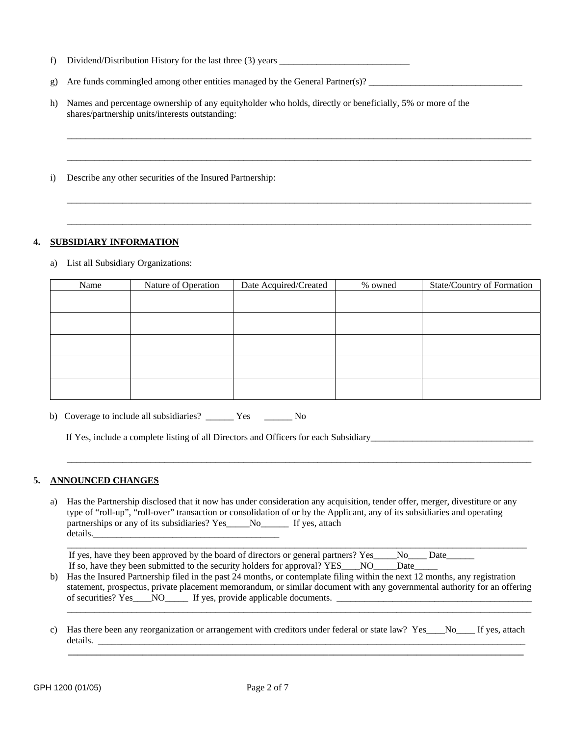- f) Dividend/Distribution History for the last three (3) years \_\_\_\_\_\_\_\_\_\_\_\_\_\_\_\_\_\_\_
- g) Are funds commingled among other entities managed by the General Partner(s)?
- h) Names and percentage ownership of any equityholder who holds, directly or beneficially, 5% or more of the shares/partnership units/interests outstanding:

\_\_\_\_\_\_\_\_\_\_\_\_\_\_\_\_\_\_\_\_\_\_\_\_\_\_\_\_\_\_\_\_\_\_\_\_\_\_\_\_\_\_\_\_\_\_\_\_\_\_\_\_\_\_\_\_\_\_\_\_\_\_\_\_\_\_\_\_\_\_\_\_\_\_\_\_\_\_\_\_\_\_\_\_\_\_\_\_\_\_\_\_\_\_\_\_\_\_\_\_

\_\_\_\_\_\_\_\_\_\_\_\_\_\_\_\_\_\_\_\_\_\_\_\_\_\_\_\_\_\_\_\_\_\_\_\_\_\_\_\_\_\_\_\_\_\_\_\_\_\_\_\_\_\_\_\_\_\_\_\_\_\_\_\_\_\_\_\_\_\_\_\_\_\_\_\_\_\_\_\_\_\_\_\_\_\_\_\_\_\_\_\_\_\_\_\_\_\_\_\_

\_\_\_\_\_\_\_\_\_\_\_\_\_\_\_\_\_\_\_\_\_\_\_\_\_\_\_\_\_\_\_\_\_\_\_\_\_\_\_\_\_\_\_\_\_\_\_\_\_\_\_\_\_\_\_\_\_\_\_\_\_\_\_\_\_\_\_\_\_\_\_\_\_\_\_\_\_\_\_\_\_\_\_\_\_\_\_\_\_\_\_\_\_\_\_\_\_\_\_\_

\_\_\_\_\_\_\_\_\_\_\_\_\_\_\_\_\_\_\_\_\_\_\_\_\_\_\_\_\_\_\_\_\_\_\_\_\_\_\_\_\_\_\_\_\_\_\_\_\_\_\_\_\_\_\_\_\_\_\_\_\_\_\_\_\_\_\_\_\_\_\_\_\_\_\_\_\_\_\_\_\_\_\_\_\_\_\_\_\_\_\_\_\_\_\_\_\_\_\_\_

i) Describe any other securities of the Insured Partnership:

## **4. SUBSIDIARY INFORMATION**

a) List all Subsidiary Organizations:

| Name | Nature of Operation | Date Acquired/Created | % owned | State/Country of Formation |
|------|---------------------|-----------------------|---------|----------------------------|
|      |                     |                       |         |                            |
|      |                     |                       |         |                            |
|      |                     |                       |         |                            |
|      |                     |                       |         |                            |
|      |                     |                       |         |                            |
|      |                     |                       |         |                            |
|      |                     |                       |         |                            |
|      |                     |                       |         |                            |

b) Coverage to include all subsidiaries? \_\_\_\_\_\_ Yes \_\_\_\_\_\_ No

If Yes, include a complete listing of all Directors and Officers for each Subsidiary\_\_\_\_\_\_\_\_\_\_\_\_\_\_\_\_\_\_\_\_\_\_\_\_\_\_

## **5. ANNOUNCED CHANGES**

a) Has the Partnership disclosed that it now has under consideration any acquisition, tender offer, merger, divestiture or any type of "roll-up", "roll-over" transaction or consolidation of or by the Applicant, any of its subsidiaries and operating partnerships or any of its subsidiaries? Yes\_\_\_\_No\_\_\_\_\_\_\_ If yes, attach details.

 $\mathcal{L}_\text{max} = \mathcal{L}_\text{max} = \mathcal{L}_\text{max} = \mathcal{L}_\text{max} = \mathcal{L}_\text{max} = \mathcal{L}_\text{max} = \mathcal{L}_\text{max} = \mathcal{L}_\text{max} = \mathcal{L}_\text{max} = \mathcal{L}_\text{max} = \mathcal{L}_\text{max} = \mathcal{L}_\text{max} = \mathcal{L}_\text{max} = \mathcal{L}_\text{max} = \mathcal{L}_\text{max} = \mathcal{L}_\text{max} = \mathcal{L}_\text{max} = \mathcal{L}_\text{max} = \mathcal{$ 

If yes, have they been approved by the board of directors or general partners? Yes\_\_\_\_No\_\_\_\_Date\_\_\_\_\_\_ If so, have they been submitted to the security holders for approval? YES\_\_\_\_NO\_\_\_\_\_Date\_\_\_\_\_

\_\_\_\_\_\_\_\_\_\_\_\_\_\_\_\_\_\_\_\_\_\_\_\_\_\_\_\_\_\_\_\_\_\_\_\_\_\_\_\_\_\_\_\_\_\_\_\_\_\_\_\_\_\_\_\_\_\_\_\_\_\_\_\_\_\_\_\_\_\_\_\_\_\_\_\_\_\_\_\_\_\_\_\_\_\_\_\_\_\_\_\_\_\_\_\_\_\_\_

b) Has the Insured Partnership filed in the past 24 months, or contemplate filing within the next 12 months, any registration statement, prospectus, private placement memorandum, or similar document with any governmental authority for an offering of securities? Yes\_\_\_\_NO\_\_\_\_\_ If yes, provide applicable documents. \_\_\_\_\_\_\_\_\_\_\_\_\_\_\_\_\_\_\_\_\_\_\_\_\_\_\_\_\_\_\_\_\_\_\_\_\_\_\_\_\_\_

\_\_\_\_\_\_\_\_\_\_\_\_\_\_\_\_\_\_\_\_\_\_\_\_\_\_\_\_\_\_\_\_\_\_\_\_\_\_\_\_\_\_\_\_\_\_\_\_\_\_\_\_\_\_\_\_\_\_\_\_\_\_\_\_\_\_\_\_\_\_\_\_\_\_\_\_\_\_\_\_\_\_\_\_\_\_\_\_\_\_\_\_\_\_\_\_\_\_\_\_

c) Has there been any reorganization or arrangement with creditors under federal or state law? Yes No If yes, attach details.

 **\_\_\_\_\_\_\_\_\_\_\_\_\_\_\_\_\_\_\_\_\_\_\_\_\_\_\_\_\_\_\_\_\_\_\_\_\_\_\_\_\_\_\_\_\_\_\_\_\_\_\_\_\_\_\_\_\_\_\_\_\_\_\_\_\_\_\_\_\_\_\_\_\_\_\_\_\_\_\_\_\_\_\_\_\_\_\_\_\_\_\_\_\_\_\_\_\_\_**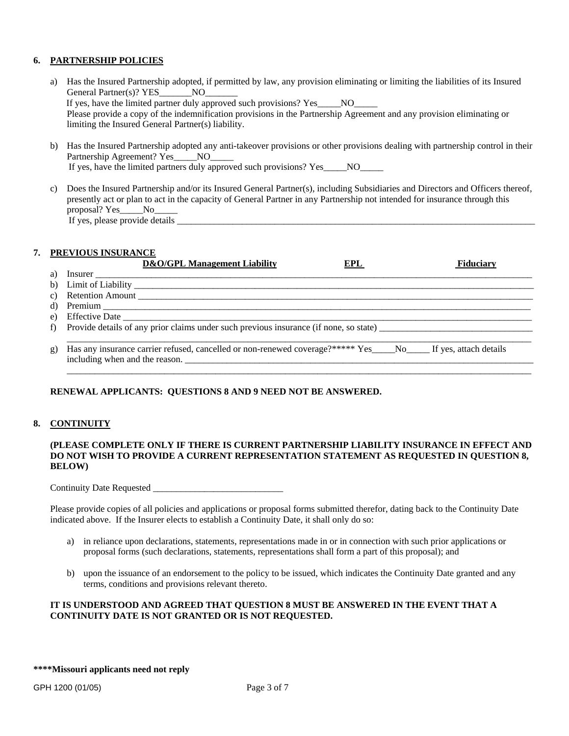## **6. PARTNERSHIP POLICIES**

a) Has the Insured Partnership adopted, if permitted by law, any provision eliminating or limiting the liabilities of its Insured General Partner(s)? YES\_\_\_\_\_\_\_NO\_ If yes, have the limited partner duly approved such provisions? Yes NO Please provide a copy of the indemnification provisions in the Partnership Agreement and any provision eliminating or limiting the Insured General Partner(s) liability. b) Has the Insured Partnership adopted any anti-takeover provisions or other provisions dealing with partnership control in their Partnership Agreement? Yes NO

If yes, have the limited partners duly approved such provisions? Yes\_\_\_\_\_NO\_\_\_\_\_

c) Does the Insured Partnership and/or its Insured General Partner(s), including Subsidiaries and Directors and Officers thereof, presently act or plan to act in the capacity of General Partner in any Partnership not intended for insurance through this proposal? Yes\_\_\_\_\_No\_\_\_\_\_ If yes, please provide details \_

## **7. PREVIOUS INSURANCE**

| 1.44 | D&O/GPL Management Liability                                                                                                              | EPL | <b>Fiduciary</b> |
|------|-------------------------------------------------------------------------------------------------------------------------------------------|-----|------------------|
| a)   | Insurer                                                                                                                                   |     |                  |
| b)   |                                                                                                                                           |     |                  |
|      |                                                                                                                                           |     |                  |
| d)   |                                                                                                                                           |     |                  |
| e)   |                                                                                                                                           |     |                  |
| f)   | Provide details of any prior claims under such previous insurance (if none, so state)                                                     |     |                  |
|      |                                                                                                                                           |     |                  |
| g)   | Has any insurance carrier refused, cancelled or non-renewed coverage?**** Yes No If yes, attach details<br>including when and the reason. |     |                  |

## **RENEWAL APPLICANTS: QUESTIONS 8 AND 9 NEED NOT BE ANSWERED.**

#### **8. CONTINUITY**

## **(PLEASE COMPLETE ONLY IF THERE IS CURRENT PARTNERSHIP LIABILITY INSURANCE IN EFFECT AND DO NOT WISH TO PROVIDE A CURRENT REPRESENTATION STATEMENT AS REQUESTED IN QUESTION 8, BELOW)**

Continuity Date Requested \_\_\_\_\_\_\_\_\_\_\_\_\_\_\_\_\_\_\_\_\_\_\_\_\_\_\_\_

Please provide copies of all policies and applications or proposal forms submitted therefor, dating back to the Continuity Date indicated above. If the Insurer elects to establish a Continuity Date, it shall only do so:

- a) in reliance upon declarations, statements, representations made in or in connection with such prior applications or proposal forms (such declarations, statements, representations shall form a part of this proposal); and
- b) upon the issuance of an endorsement to the policy to be issued, which indicates the Continuity Date granted and any terms, conditions and provisions relevant thereto.

#### **IT IS UNDERSTOOD AND AGREED THAT QUESTION 8 MUST BE ANSWERED IN THE EVENT THAT A CONTINUITY DATE IS NOT GRANTED OR IS NOT REQUESTED.**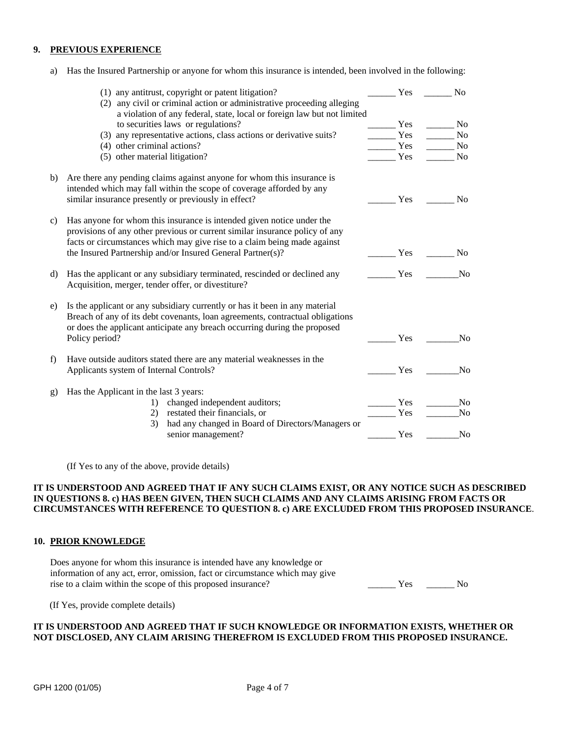#### **9. PREVIOUS EXPERIENCE**

a) Has the Insured Partnership or anyone for whom this insurance is intended, been involved in the following:

|               | (1) any antitrust, copyright or patent litigation?                            | Yes | N <sub>0</sub> |
|---------------|-------------------------------------------------------------------------------|-----|----------------|
|               | (2) any civil or criminal action or administrative proceeding alleging        |     |                |
|               | a violation of any federal, state, local or foreign law but not limited       |     |                |
|               | to securities laws or regulations?                                            | Yes | N <sub>0</sub> |
|               | (3) any representative actions, class actions or derivative suits?            | Yes | No             |
|               | (4) other criminal actions?                                                   | Yes | N <sub>0</sub> |
|               | (5) other material litigation?                                                | Yes | N <sub>0</sub> |
| b)            | Are there any pending claims against anyone for whom this insurance is        |     |                |
|               | intended which may fall within the scope of coverage afforded by any          |     |                |
|               | similar insurance presently or previously in effect?                          | Yes | N <sub>0</sub> |
|               |                                                                               |     |                |
| $\mathbf{c})$ | Has anyone for whom this insurance is intended given notice under the         |     |                |
|               | provisions of any other previous or current similar insurance policy of any   |     |                |
|               | facts or circumstances which may give rise to a claim being made against      |     |                |
|               | the Insured Partnership and/or Insured General Partner(s)?                    | Yes | N <sub>0</sub> |
|               |                                                                               |     |                |
| d)            | Has the applicant or any subsidiary terminated, rescinded or declined any     | Yes | N <sub>o</sub> |
|               | Acquisition, merger, tender offer, or divestiture?                            |     |                |
|               |                                                                               |     |                |
| e)            | Is the applicant or any subsidiary currently or has it been in any material   |     |                |
|               | Breach of any of its debt covenants, loan agreements, contractual obligations |     |                |
|               | or does the applicant anticipate any breach occurring during the proposed     |     |                |
|               | Policy period?                                                                | Yes | N <sub>0</sub> |
| f)            | Have outside auditors stated there are any material weaknesses in the         |     |                |
|               | Applicants system of Internal Controls?                                       | Yes | N <sub>o</sub> |
|               |                                                                               |     |                |
| g)            | Has the Applicant in the last 3 years:                                        |     |                |
|               | changed independent auditors;<br>1)                                           | Yes | N <sub>0</sub> |
|               | restated their financials, or<br>2)                                           | Yes | N <sub>o</sub> |
|               | had any changed in Board of Directors/Managers or<br>3)                       |     |                |
|               | senior management?                                                            | Yes | N <sub>o</sub> |

(If Yes to any of the above, provide details)

## **IT IS UNDERSTOOD AND AGREED THAT IF ANY SUCH CLAIMS EXIST, OR ANY NOTICE SUCH AS DESCRIBED IN QUESTIONS 8. c) HAS BEEN GIVEN, THEN SUCH CLAIMS AND ANY CLAIMS ARISING FROM FACTS OR CIRCUMSTANCES WITH REFERENCE TO QUESTION 8. c) ARE EXCLUDED FROM THIS PROPOSED INSURANCE**.

#### **10. PRIOR KNOWLEDGE**

Does anyone for whom this insurance is intended have any knowledge or information of any act, error, omission, fact or circumstance which may give rise to a claim within the scope of this proposed insurance? The Yes The Yes No

(If Yes, provide complete details)

### **IT IS UNDERSTOOD AND AGREED THAT IF SUCH KNOWLEDGE OR INFORMATION EXISTS, WHETHER OR NOT DISCLOSED, ANY CLAIM ARISING THEREFROM IS EXCLUDED FROM THIS PROPOSED INSURANCE.**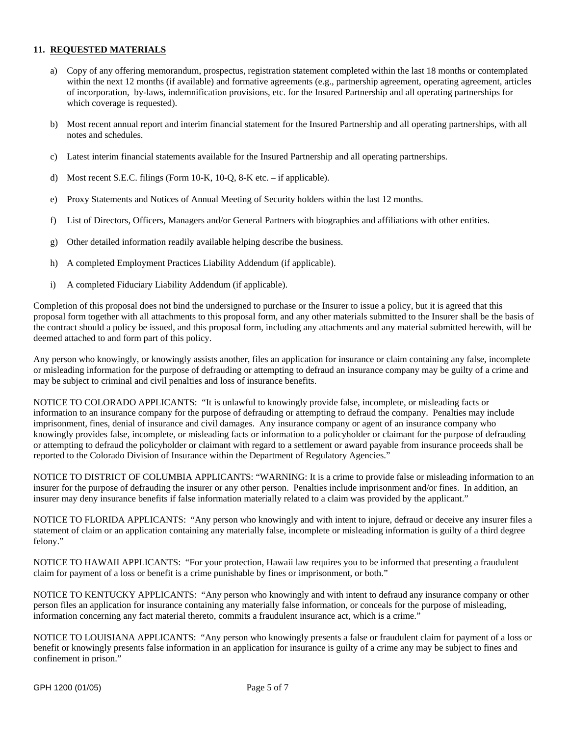## **11. REQUESTED MATERIALS**

- a) Copy of any offering memorandum, prospectus, registration statement completed within the last 18 months or contemplated within the next 12 months (if available) and formative agreements (e.g., partnership agreement, operating agreement, articles of incorporation, by-laws, indemnification provisions, etc. for the Insured Partnership and all operating partnerships for which coverage is requested).
- b) Most recent annual report and interim financial statement for the Insured Partnership and all operating partnerships, with all notes and schedules.
- c) Latest interim financial statements available for the Insured Partnership and all operating partnerships.
- d) Most recent S.E.C. filings (Form 10-K, 10-Q, 8-K etc. if applicable).
- e) Proxy Statements and Notices of Annual Meeting of Security holders within the last 12 months.
- f) List of Directors, Officers, Managers and/or General Partners with biographies and affiliations with other entities.
- g) Other detailed information readily available helping describe the business.
- h) A completed Employment Practices Liability Addendum (if applicable).
- i) A completed Fiduciary Liability Addendum (if applicable).

Completion of this proposal does not bind the undersigned to purchase or the Insurer to issue a policy, but it is agreed that this proposal form together with all attachments to this proposal form, and any other materials submitted to the Insurer shall be the basis of the contract should a policy be issued, and this proposal form, including any attachments and any material submitted herewith, will be deemed attached to and form part of this policy.

Any person who knowingly, or knowingly assists another, files an application for insurance or claim containing any false, incomplete or misleading information for the purpose of defrauding or attempting to defraud an insurance company may be guilty of a crime and may be subject to criminal and civil penalties and loss of insurance benefits.

NOTICE TO COLORADO APPLICANTS: "It is unlawful to knowingly provide false, incomplete, or misleading facts or information to an insurance company for the purpose of defrauding or attempting to defraud the company. Penalties may include imprisonment, fines, denial of insurance and civil damages. Any insurance company or agent of an insurance company who knowingly provides false, incomplete, or misleading facts or information to a policyholder or claimant for the purpose of defrauding or attempting to defraud the policyholder or claimant with regard to a settlement or award payable from insurance proceeds shall be reported to the Colorado Division of Insurance within the Department of Regulatory Agencies."

NOTICE TO DISTRICT OF COLUMBIA APPLICANTS: "WARNING: It is a crime to provide false or misleading information to an insurer for the purpose of defrauding the insurer or any other person. Penalties include imprisonment and/or fines. In addition, an insurer may deny insurance benefits if false information materially related to a claim was provided by the applicant."

NOTICE TO FLORIDA APPLICANTS: "Any person who knowingly and with intent to injure, defraud or deceive any insurer files a statement of claim or an application containing any materially false, incomplete or misleading information is guilty of a third degree felony."

NOTICE TO HAWAII APPLICANTS: "For your protection, Hawaii law requires you to be informed that presenting a fraudulent claim for payment of a loss or benefit is a crime punishable by fines or imprisonment, or both."

NOTICE TO KENTUCKY APPLICANTS: "Any person who knowingly and with intent to defraud any insurance company or other person files an application for insurance containing any materially false information, or conceals for the purpose of misleading, information concerning any fact material thereto, commits a fraudulent insurance act, which is a crime."

NOTICE TO LOUISIANA APPLICANTS: "Any person who knowingly presents a false or fraudulent claim for payment of a loss or benefit or knowingly presents false information in an application for insurance is guilty of a crime any may be subject to fines and confinement in prison."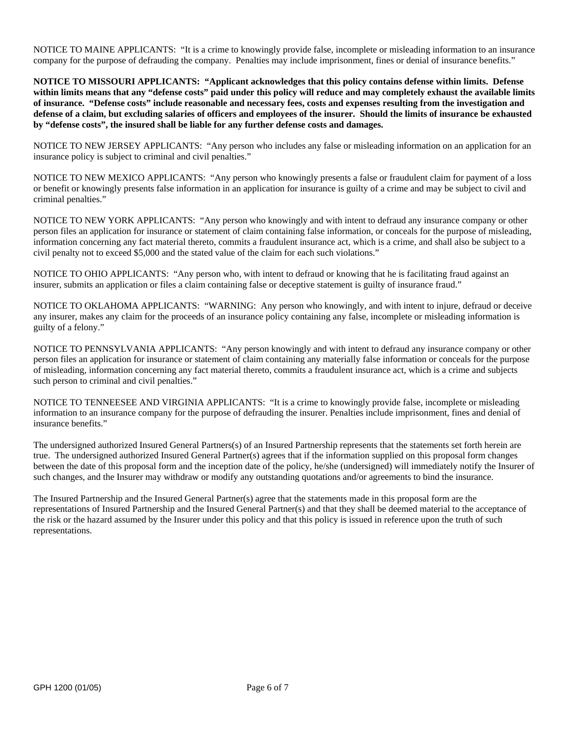NOTICE TO MAINE APPLICANTS: "It is a crime to knowingly provide false, incomplete or misleading information to an insurance company for the purpose of defrauding the company. Penalties may include imprisonment, fines or denial of insurance benefits."

**NOTICE TO MISSOURI APPLICANTS: "Applicant acknowledges that this policy contains defense within limits. Defense within limits means that any "defense costs" paid under this policy will reduce and may completely exhaust the available limits of insurance. "Defense costs" include reasonable and necessary fees, costs and expenses resulting from the investigation and defense of a claim, but excluding salaries of officers and employees of the insurer. Should the limits of insurance be exhausted by "defense costs", the insured shall be liable for any further defense costs and damages.** 

NOTICE TO NEW JERSEY APPLICANTS: "Any person who includes any false or misleading information on an application for an insurance policy is subject to criminal and civil penalties."

NOTICE TO NEW MEXICO APPLICANTS: "Any person who knowingly presents a false or fraudulent claim for payment of a loss or benefit or knowingly presents false information in an application for insurance is guilty of a crime and may be subject to civil and criminal penalties."

NOTICE TO NEW YORK APPLICANTS: "Any person who knowingly and with intent to defraud any insurance company or other person files an application for insurance or statement of claim containing false information, or conceals for the purpose of misleading, information concerning any fact material thereto, commits a fraudulent insurance act, which is a crime, and shall also be subject to a civil penalty not to exceed \$5,000 and the stated value of the claim for each such violations."

NOTICE TO OHIO APPLICANTS: "Any person who, with intent to defraud or knowing that he is facilitating fraud against an insurer, submits an application or files a claim containing false or deceptive statement is guilty of insurance fraud."

NOTICE TO OKLAHOMA APPLICANTS: "WARNING: Any person who knowingly, and with intent to injure, defraud or deceive any insurer, makes any claim for the proceeds of an insurance policy containing any false, incomplete or misleading information is guilty of a felony."

NOTICE TO PENNSYLVANIA APPLICANTS: "Any person knowingly and with intent to defraud any insurance company or other person files an application for insurance or statement of claim containing any materially false information or conceals for the purpose of misleading, information concerning any fact material thereto, commits a fraudulent insurance act, which is a crime and subjects such person to criminal and civil penalties."

NOTICE TO TENNEESEE AND VIRGINIA APPLICANTS: "It is a crime to knowingly provide false, incomplete or misleading information to an insurance company for the purpose of defrauding the insurer. Penalties include imprisonment, fines and denial of insurance benefits."

The undersigned authorized Insured General Partners(s) of an Insured Partnership represents that the statements set forth herein are true. The undersigned authorized Insured General Partner(s) agrees that if the information supplied on this proposal form changes between the date of this proposal form and the inception date of the policy, he/she (undersigned) will immediately notify the Insurer of such changes, and the Insurer may withdraw or modify any outstanding quotations and/or agreements to bind the insurance.

The Insured Partnership and the Insured General Partner(s) agree that the statements made in this proposal form are the representations of Insured Partnership and the Insured General Partner(s) and that they shall be deemed material to the acceptance of the risk or the hazard assumed by the Insurer under this policy and that this policy is issued in reference upon the truth of such representations.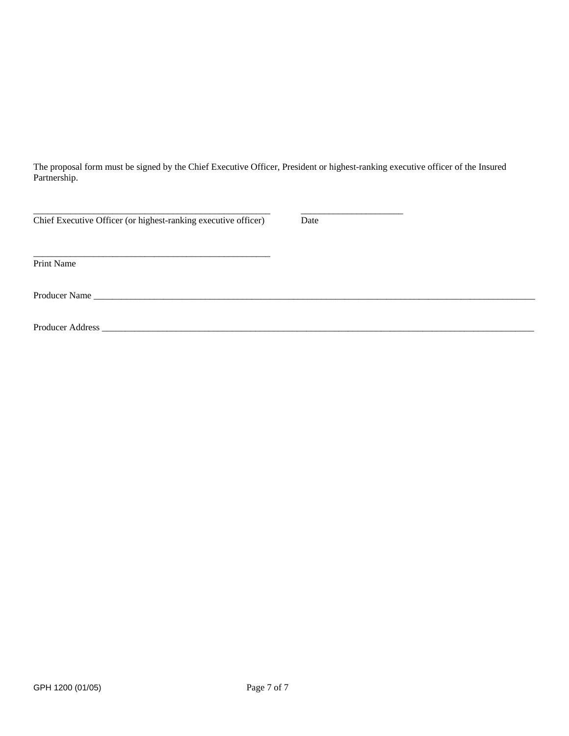The proposal form must be signed by the Chief Executive Officer, President or highest-ranking executive officer of the Insured Partnership.

| Chief Executive Officer (or highest-ranking executive officer) | Date |
|----------------------------------------------------------------|------|
| Print Name                                                     |      |
|                                                                |      |
| Producer Address                                               |      |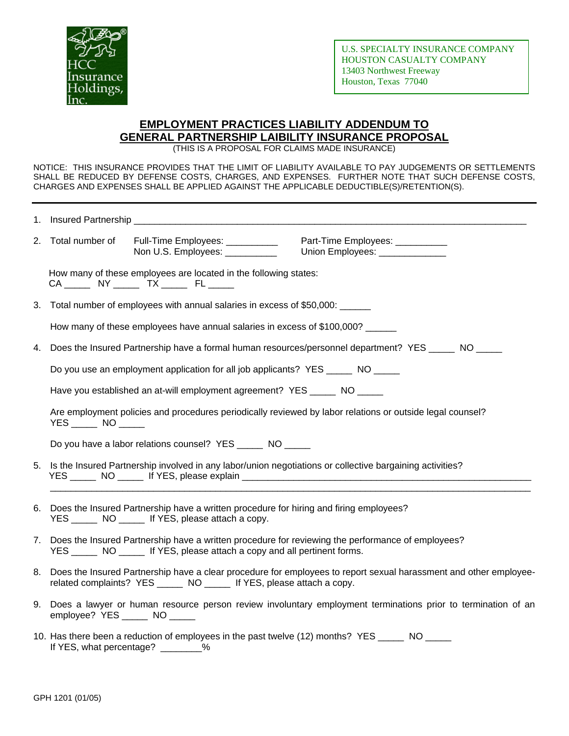

# **EMPLOYMENT PRACTICES LIABILITY ADDENDUM TO GENERAL PARTNERSHIP LAIBILITY INSURANCE PROPOSAL**

(THIS IS A PROPOSAL FOR CLAIMS MADE INSURANCE)

NOTICE: THIS INSURANCE PROVIDES THAT THE LIMIT OF LIABILITY AVAILABLE TO PAY JUDGEMENTS OR SETTLEMENTS SHALL BE REDUCED BY DEFENSE COSTS, CHARGES, AND EXPENSES. FURTHER NOTE THAT SUCH DEFENSE COSTS, CHARGES AND EXPENSES SHALL BE APPLIED AGAINST THE APPLICABLE DEDUCTIBLE(S)/RETENTION(S).

|    | 2. Total number of Full-Time Employees: __________<br>Part-Time Employees: __________<br>Non U.S. Employees: __________<br>Union Employees: _____________                                      |
|----|------------------------------------------------------------------------------------------------------------------------------------------------------------------------------------------------|
|    | How many of these employees are located in the following states:<br>CA ______ NY _____ TX _____ FL _____                                                                                       |
|    | 3. Total number of employees with annual salaries in excess of \$50,000: ______                                                                                                                |
|    | How many of these employees have annual salaries in excess of \$100,000?                                                                                                                       |
| 4. | Does the Insured Partnership have a formal human resources/personnel department? YES ______ NO _____                                                                                           |
|    | Do you use an employment application for all job applicants? YES ______ NO _____                                                                                                               |
|    | Have you established an at-will employment agreement? YES _____ NO _____                                                                                                                       |
|    | Are employment policies and procedures periodically reviewed by labor relations or outside legal counsel?                                                                                      |
|    | Do you have a labor relations counsel? YES ______ NO _____                                                                                                                                     |
|    | 5. Is the Insured Partnership involved in any labor/union negotiations or collective bargaining activities?                                                                                    |
| 6. | Does the Insured Partnership have a written procedure for hiring and firing employees?<br>YES ________ NO _______ If YES, please attach a copy.                                                |
| 7. | Does the Insured Partnership have a written procedure for reviewing the performance of employees?<br>YES _________ NO _______ If YES, please attach a copy and all pertinent forms.            |
|    | 8. Does the Insured Partnership have a clear procedure for employees to report sexual harassment and other employee-<br>related complaints? YES ______ NO ______ If YES, please attach a copy. |
|    | 9. Does a lawyer or human resource person review involuntary employment terminations prior to termination of an<br>employee? YES ______ NO _____                                               |
|    | 10. Has there been a reduction of employees in the past twelve (12) months? YES _____ NO _____<br>If YES, what percentage? ________%                                                           |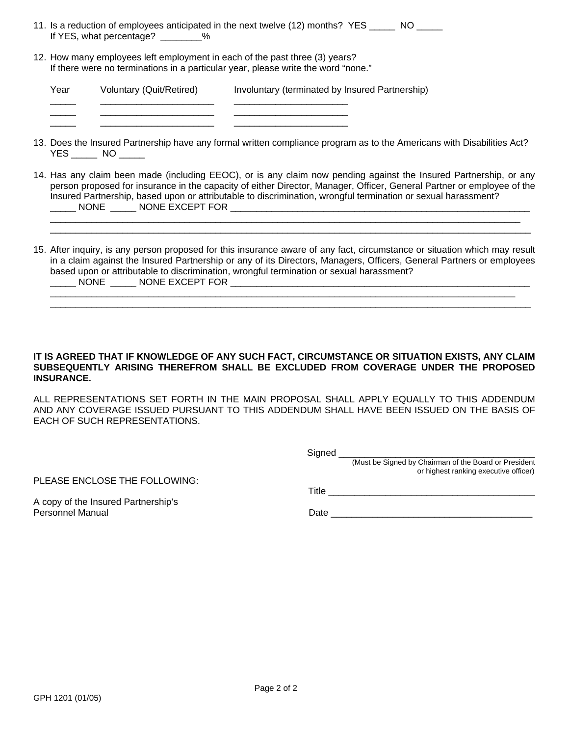|                          | 11. Is a reduction of employees anticipated in the next twelve (12) months? YES |  |
|--------------------------|---------------------------------------------------------------------------------|--|
| If YES, what percentage? |                                                                                 |  |

12. How many employees left employment in each of the past three (3) years? If there were no terminations in a particular year, please write the word "none."

\_\_\_\_\_ \_\_\_\_\_\_\_\_\_\_\_\_\_\_\_\_\_\_\_\_\_\_ \_\_\_\_\_\_\_\_\_\_\_\_\_\_\_\_\_\_\_\_\_\_

Year Voluntary (Quit/Retired) Involuntary (terminated by Insured Partnership) \_\_\_\_\_ \_\_\_\_\_\_\_\_\_\_\_\_\_\_\_\_\_\_\_\_\_\_ \_\_\_\_\_\_\_\_\_\_\_\_\_\_\_\_\_\_\_\_\_\_

- 13. Does the Insured Partnership have any formal written compliance program as to the Americans with Disabilities Act? YES \_\_\_\_\_\_\_ NO \_\_\_\_\_\_
- 14. Has any claim been made (including EEOC), or is any claim now pending against the Insured Partnership, or any person proposed for insurance in the capacity of either Director, Manager, Officer, General Partner or employee of the Insured Partnership, based upon or attributable to discrimination, wrongful termination or sexual harassment? \_\_\_\_\_ NONE \_\_\_\_\_ NONE EXCEPT FOR \_\_\_\_\_\_\_\_\_\_\_\_\_\_\_\_\_\_\_\_\_\_\_\_\_\_\_\_\_\_\_\_\_\_\_\_\_\_\_\_\_\_\_\_\_\_\_\_\_\_\_\_\_\_\_\_\_\_

 $\Box$ \_\_\_\_\_\_\_\_\_\_\_\_\_\_\_\_\_\_\_\_\_\_\_\_\_\_\_\_\_\_\_\_\_\_\_\_\_\_\_\_\_\_\_\_\_\_\_\_\_\_\_\_\_\_\_\_\_\_\_\_\_\_\_\_\_\_\_\_\_\_\_\_\_\_\_\_\_\_\_\_\_\_\_\_\_\_\_\_\_\_\_\_\_

15. After inquiry, is any person proposed for this insurance aware of any fact, circumstance or situation which may result in a claim against the Insured Partnership or any of its Directors, Managers, Officers, General Partners or employees based upon or attributable to discrimination, wrongful termination or sexual harassment? NONE NONE EXCEPT FOR

 $\overline{\phantom{a}}$  , and the set of the set of the set of the set of the set of the set of the set of the set of the set of the set of the set of the set of the set of the set of the set of the set of the set of the set of the s

## **IT IS AGREED THAT IF KNOWLEDGE OF ANY SUCH FACT, CIRCUMSTANCE OR SITUATION EXISTS, ANY CLAIM SUBSEQUENTLY ARISING THEREFROM SHALL BE EXCLUDED FROM COVERAGE UNDER THE PROPOSED INSURANCE.**

ALL REPRESENTATIONS SET FORTH IN THE MAIN PROPOSAL SHALL APPLY EQUALLY TO THIS ADDENDUM AND ANY COVERAGE ISSUED PURSUANT TO THIS ADDENDUM SHALL HAVE BEEN ISSUED ON THE BASIS OF EACH OF SUCH REPRESENTATIONS.

PLEASE ENCLOSE THE FOLLOWING:

Signed \_\_\_\_\_\_\_\_\_\_\_\_\_\_\_\_\_\_\_\_\_\_\_\_\_\_\_\_\_\_\_\_\_\_\_\_\_\_

(Must be Signed by Chairman of the Board or President or highest ranking executive officer)

A copy of the Insured Partnership's

Title \_\_\_\_\_\_\_\_\_\_\_\_\_\_\_\_\_\_\_\_\_\_\_\_\_\_\_\_\_\_\_\_\_\_\_\_\_\_\_\_

Personnel Manual Date \_\_\_\_\_\_\_\_\_\_\_\_\_\_\_\_\_\_\_\_\_\_\_\_\_\_\_\_\_\_\_\_\_\_\_\_\_\_\_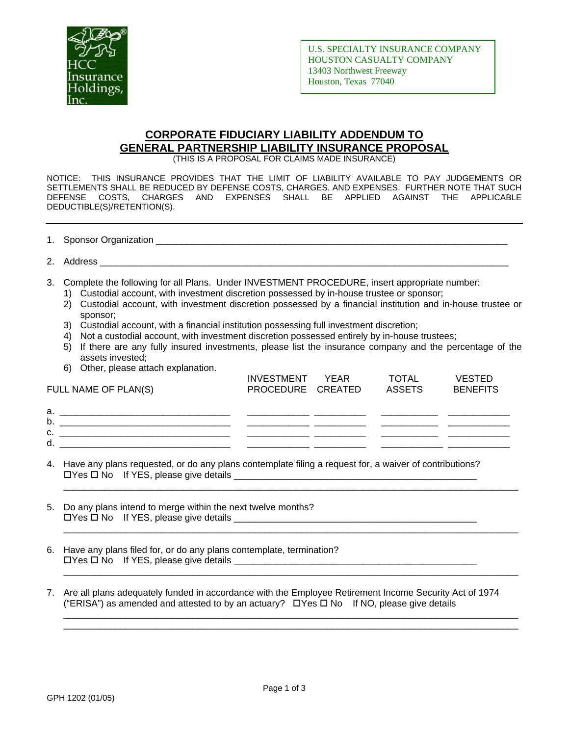

# **CORPORATE FIDUCIARY LIABILITY ADDENDUM TO GENERAL PARTNERSHIP LIABILITY INSURANCE PROPOSAL**

(THIS IS A PROPOSAL FOR CLAIMS MADE INSURANCE)

NOTICE: THIS INSURANCE PROVIDES THAT THE LIMIT OF LIABILITY AVAILABLE TO PAY JUDGEMENTS OR SETTLEMENTS SHALL BE REDUCED BY DEFENSE COSTS, CHARGES, AND EXPENSES. FURTHER NOTE THAT SUCH DEFENSE COSTS, CHARGES AND EXPENSES SHALL BE APPLIED AGAINST THE APPLICABLE DEDUCTIBLE(S)/RETENTION(S).

| 1. Sponsor Organization |  |
|-------------------------|--|
|                         |  |

- 2. Address \_\_\_\_\_\_\_\_\_\_\_\_\_\_\_\_\_\_\_\_\_\_\_\_\_\_\_\_\_\_\_\_\_\_\_\_\_\_\_\_\_\_\_\_\_\_\_\_\_\_\_\_\_\_\_\_\_\_\_\_\_\_\_\_\_\_\_\_\_\_\_\_\_\_\_\_\_\_\_
- 3. Complete the following for all Plans. Under INVESTMENT PROCEDURE, insert appropriate number:
	- 1) Custodial account, with investment discretion possessed by in-house trustee or sponsor;
	- 2) Custodial account, with investment discretion possessed by a financial institution and in-house trustee or sponsor;
	- 3) Custodial account, with a financial institution possessing full investment discretion;
	- 4) Not a custodial account, with investment discretion possessed entirely by in-house trustees;
	- 5) If there are any fully insured investments, please list the insurance company and the percentage of the assets invested;
	- 6) Other, please attach explanation.

| FULL NAME OF PLAN(S) | INVESTMENT YEAR<br>PROCEDURE CREATED | TOTAL<br><b>ASSETS</b> | <b>VESTED</b><br><b>BENEFITS</b> |
|----------------------|--------------------------------------|------------------------|----------------------------------|
| a.<br>b.             |                                      |                        |                                  |
| c.<br>d.             |                                      |                        |                                  |

\_\_\_\_\_\_\_\_\_\_\_\_\_\_\_\_\_\_\_\_\_\_\_\_\_\_\_\_\_\_\_\_\_\_\_\_\_\_\_\_\_\_\_\_\_\_\_\_\_\_\_\_\_\_\_\_\_\_\_\_\_\_\_\_\_\_\_\_\_\_\_\_\_\_\_\_\_\_\_\_\_\_\_\_\_\_\_\_

\_\_\_\_\_\_\_\_\_\_\_\_\_\_\_\_\_\_\_\_\_\_\_\_\_\_\_\_\_\_\_\_\_\_\_\_\_\_\_\_\_\_\_\_\_\_\_\_\_\_\_\_\_\_\_\_\_\_\_\_\_\_\_\_\_\_\_\_\_\_\_\_\_\_\_\_\_\_\_\_\_\_\_\_\_\_\_\_

\_\_\_\_\_\_\_\_\_\_\_\_\_\_\_\_\_\_\_\_\_\_\_\_\_\_\_\_\_\_\_\_\_\_\_\_\_\_\_\_\_\_\_\_\_\_\_\_\_\_\_\_\_\_\_\_\_\_\_\_\_\_\_\_\_\_\_\_\_\_\_\_\_\_\_\_\_\_\_\_\_\_\_\_\_\_\_\_

\_\_\_\_\_\_\_\_\_\_\_\_\_\_\_\_\_\_\_\_\_\_\_\_\_\_\_\_\_\_\_\_\_\_\_\_\_\_\_\_\_\_\_\_\_\_\_\_\_\_\_\_\_\_\_\_\_\_\_\_\_\_\_\_\_\_\_\_\_\_\_\_\_\_\_\_\_\_\_\_\_\_\_\_\_\_\_\_ \_\_\_\_\_\_\_\_\_\_\_\_\_\_\_\_\_\_\_\_\_\_\_\_\_\_\_\_\_\_\_\_\_\_\_\_\_\_\_\_\_\_\_\_\_\_\_\_\_\_\_\_\_\_\_\_\_\_\_\_\_\_\_\_\_\_\_\_\_\_\_\_\_\_\_\_\_\_\_\_\_\_\_\_\_\_\_\_

- 4. Have any plans requested, or do any plans contemplate filing a request for, a waiver of contributions? Yes No If YES, please give details \_\_\_\_\_\_\_\_\_\_\_\_\_\_\_\_\_\_\_\_\_\_\_\_\_\_\_\_\_\_\_\_\_\_\_\_\_\_\_\_\_\_\_\_\_\_\_
- 5. Do any plans intend to merge within the next twelve months?  $\Box$  Yes  $\Box$  No If YES, please give details  $\Box$
- 6. Have any plans filed for, or do any plans contemplate, termination?  $\Box$  Yes  $\Box$  No If YES, please give details  $\_\_\_\_\_\_\_\_\_\_\_\_\_\_\_$
- 7. Are all plans adequately funded in accordance with the Employee Retirement Income Security Act of 1974 ("ERISA") as amended and attested to by an actuary?  $\Box$  Yes  $\Box$  No If NO, please give details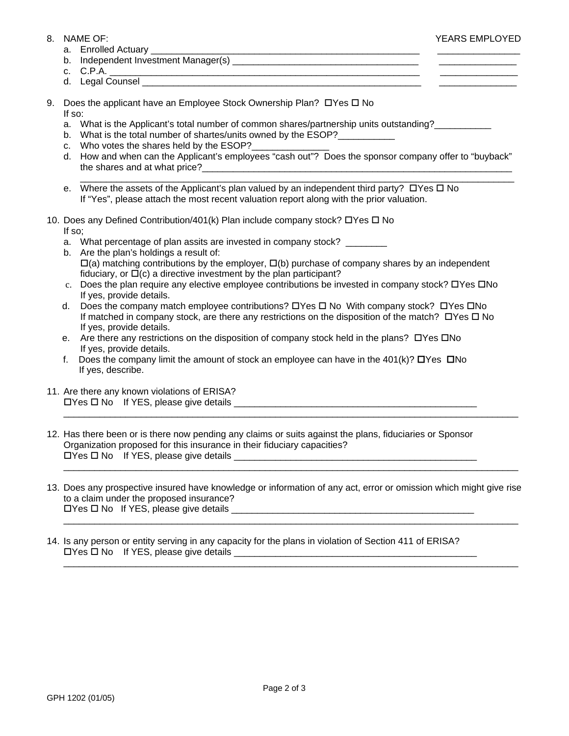- - a. Enrolled Actuary \_\_\_\_\_\_\_\_\_\_\_\_\_\_\_\_\_\_\_\_\_\_\_\_\_\_\_\_\_\_\_\_\_\_\_\_\_\_\_\_\_\_\_\_\_\_\_\_\_\_\_\_ \_\_\_\_\_\_\_\_\_\_\_\_\_\_\_\_
	- b. Independent Investment Manager(s) \_\_\_\_\_\_\_\_\_\_\_\_\_\_\_\_\_\_\_\_\_\_\_\_\_\_\_\_\_\_\_\_\_\_\_\_ \_\_\_\_\_\_\_\_\_\_\_\_\_\_\_
	- c. C.P.A. \_\_\_\_\_\_\_\_\_\_\_\_\_\_\_\_\_\_\_\_\_\_\_\_\_\_\_\_\_\_\_\_\_\_\_\_\_\_\_\_\_\_\_\_\_\_\_\_\_\_\_\_\_\_\_\_\_\_\_\_ \_\_\_\_\_\_\_\_\_\_\_\_\_\_\_
	- d. Legal Counsel \_\_\_\_\_\_\_\_\_\_\_\_\_\_\_\_\_\_\_\_\_\_\_\_\_\_\_\_\_\_\_\_\_\_\_\_\_\_\_\_\_\_\_\_\_\_\_\_\_\_\_\_\_\_ \_\_\_\_\_\_\_\_\_\_\_\_\_\_\_
- 9. Does the applicant have an Employee Stock Ownership Plan?  $\Box$  Yes  $\Box$  No If so:
	- a. What is the Applicant's total number of common shares/partnership units outstanding?\_\_\_\_\_\_\_\_\_\_
	- b. What is the total number of shartes/units owned by the ESOP?
	- c. Who votes the shares held by the ESOP?
	- d. How and when can the Applicant's employees "cash out"? Does the sponsor company offer to "buyback" the shares and at what price?

\_\_\_\_\_\_\_\_\_\_\_\_\_\_\_\_\_\_\_\_\_\_\_\_\_\_\_\_\_\_\_\_\_\_\_\_\_\_\_\_\_\_\_\_\_\_\_\_\_\_\_\_\_\_\_\_\_\_\_\_\_\_\_\_\_\_\_\_\_\_\_\_\_\_\_\_\_\_\_\_\_\_\_\_

- e. Where the assets of the Applicant's plan valued by an independent third party?  $\Box$  Yes  $\Box$  No If "Yes", please attach the most recent valuation report along with the prior valuation.
- 10. Does any Defined Contribution/401(k) Plan include company stock? DYes D No If so;
	- a. What percentage of plan assits are invested in company stock? \_\_\_\_\_\_\_\_
	- b. Are the plan's holdings a result of:  $\Box(a)$  matching contributions by the employer,  $\Box(b)$  purchase of company shares by an independent fiduciary, or  $\Box(c)$  a directive investment by the plan participant?
	- c. Does the plan require any elective employee contributions be invested in company stock?  $\Box$ Yes  $\Box$ No If yes, provide details.
	- d. Does the company match employee contributions?  $\Box$  Yes  $\Box$  No With company stock?  $\Box$  Yes  $\Box$  No If matched in company stock, are there any restrictions on the disposition of the match?  $\Box$  Yes  $\Box$  No If yes, provide details.
	- e. Are there any restrictions on the disposition of company stock held in the plans?  $\Box$  Yes  $\Box$  No If yes, provide details.
	- **f.** Does the company limit the amount of stock an employee can have in the 401(k)?  $\Box$  Yes  $\Box$  No If yes, describe.
- 11. Are there any known violations of ERISA? Yes No If YES, please give details \_\_\_\_\_\_\_\_\_\_\_\_\_\_\_\_\_\_\_\_\_\_\_\_\_\_\_\_\_\_\_\_\_\_\_\_\_\_\_\_\_\_\_\_\_\_\_
- 12. Has there been or is there now pending any claims or suits against the plans, fiduciaries or Sponsor Organization proposed for this insurance in their fiduciary capacities? Yes No If YES, please give details \_\_\_\_\_\_\_\_\_\_\_\_\_\_\_\_\_\_\_\_\_\_\_\_\_\_\_\_\_\_\_\_\_\_\_\_\_\_\_\_\_\_\_\_\_\_\_ \_\_\_\_\_\_\_\_\_\_\_\_\_\_\_\_\_\_\_\_\_\_\_\_\_\_\_\_\_\_\_\_\_\_\_\_\_\_\_\_\_\_\_\_\_\_\_\_\_\_\_\_\_\_\_\_\_\_\_\_\_\_\_\_\_\_\_\_\_\_\_\_\_\_\_\_\_\_\_\_\_\_\_\_\_\_\_\_
- 13. Does any prospective insured have knowledge or information of any act, error or omission which might give rise to a claim under the proposed insurance?  $\Box$  Yes  $\Box$  No If YES, please give details  $\Box$

\_\_\_\_\_\_\_\_\_\_\_\_\_\_\_\_\_\_\_\_\_\_\_\_\_\_\_\_\_\_\_\_\_\_\_\_\_\_\_\_\_\_\_\_\_\_\_\_\_\_\_\_\_\_\_\_\_\_\_\_\_\_\_\_\_\_\_\_\_\_\_\_\_\_\_\_\_\_\_\_\_\_\_\_\_\_\_\_

\_\_\_\_\_\_\_\_\_\_\_\_\_\_\_\_\_\_\_\_\_\_\_\_\_\_\_\_\_\_\_\_\_\_\_\_\_\_\_\_\_\_\_\_\_\_\_\_\_\_\_\_\_\_\_\_\_\_\_\_\_\_\_\_\_\_\_\_\_\_\_\_\_\_\_\_\_\_\_\_\_\_\_\_\_\_\_\_

\_\_\_\_\_\_\_\_\_\_\_\_\_\_\_\_\_\_\_\_\_\_\_\_\_\_\_\_\_\_\_\_\_\_\_\_\_\_\_\_\_\_\_\_\_\_\_\_\_\_\_\_\_\_\_\_\_\_\_\_\_\_\_\_\_\_\_\_\_\_\_\_\_\_\_\_\_\_\_\_\_\_\_\_\_\_\_\_

14. Is any person or entity serving in any capacity for the plans in violation of Section 411 of ERISA?  $\Box$  Yes  $\Box$  No If YES, please give details  $\Box$ 

8. NAME OF: YEARS EMPLOYED